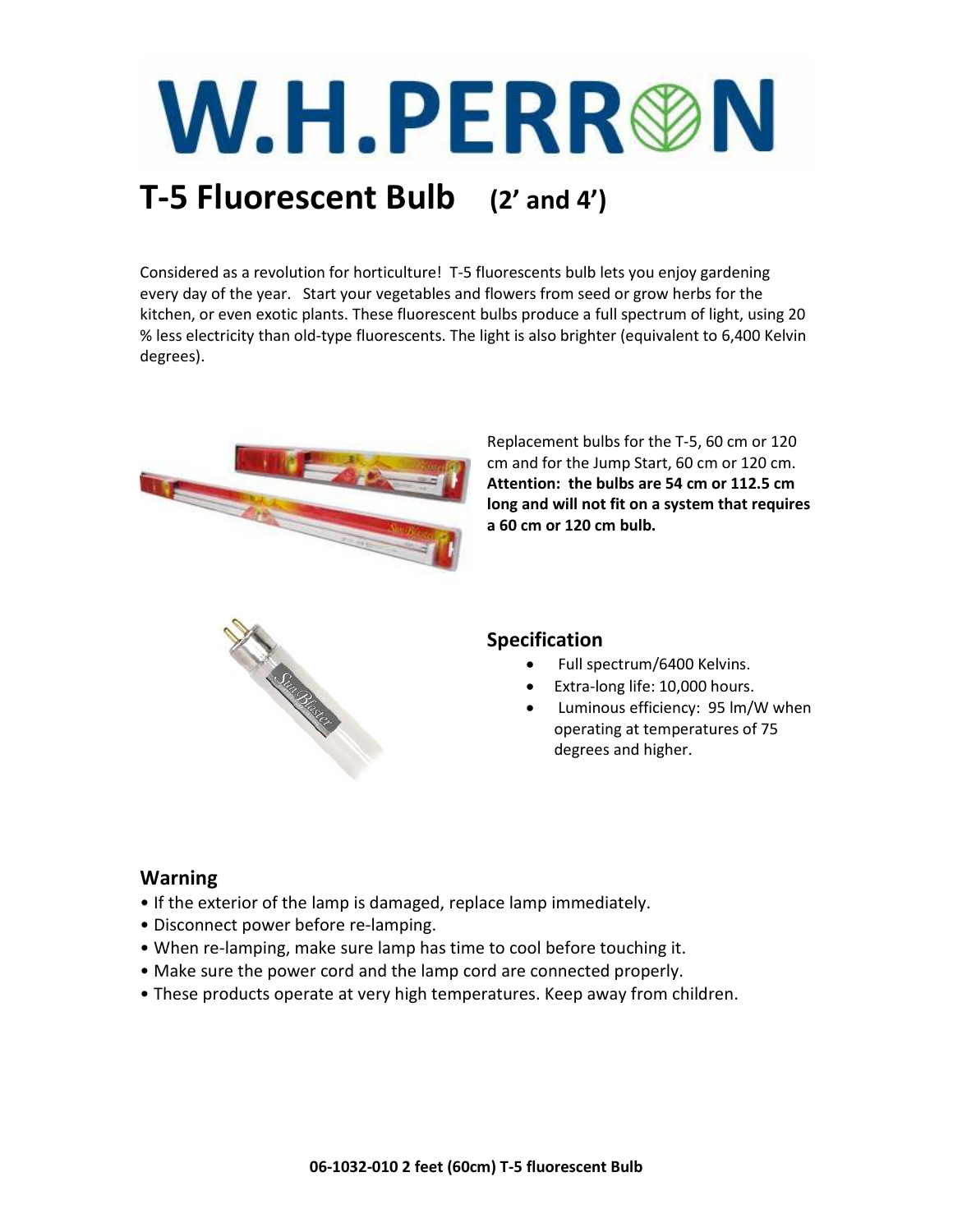# W.H.PERR®N

## **T-5 Fluorescent Bulb (2' and 4')**

Considered as a revolution for horticulture! T-5 fluorescents bulb lets you enjoy gardening every day of the year. Start your vegetables and flowers from seed or grow herbs for the kitchen, or even exotic plants. These fluorescent bulbs produce a full spectrum of light, using 20 % less electricity than old-type fluorescents. The light is also brighter (equivalent to 6,400 Kelvin degrees).



Replacement bulbs for the T-5, 60 cm or 120 cm and for the Jump Start, 60 cm or 120 cm. **Attention: the bulbs are 54 cm or 112.5 cm long and will not fit on a system that requires a 60 cm or 120 cm bulb.** 



#### **Specification**

- Full spectrum/6400 Kelvins.
- Extra-long life: 10,000 hours.
- Luminous efficiency: 95 lm/W when operating at temperatures of 75 degrees and higher.

#### **Warning**

- If the exterior of the lamp is damaged, replace lamp immediately.
- Disconnect power before re-lamping.
- When re-lamping, make sure lamp has time to cool before touching it.
- Make sure the power cord and the lamp cord are connected properly.
- These products operate at very high temperatures. Keep away from children.